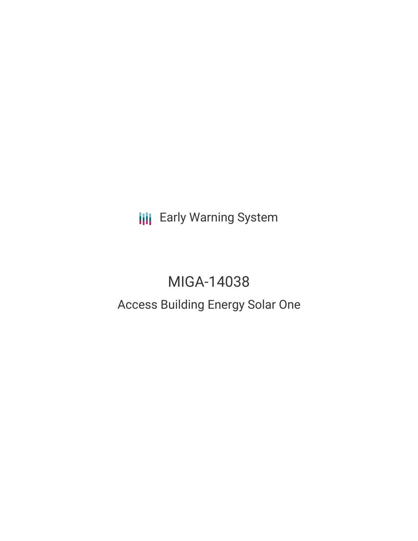**III** Early Warning System

# MIGA-14038 Access Building Energy Solar One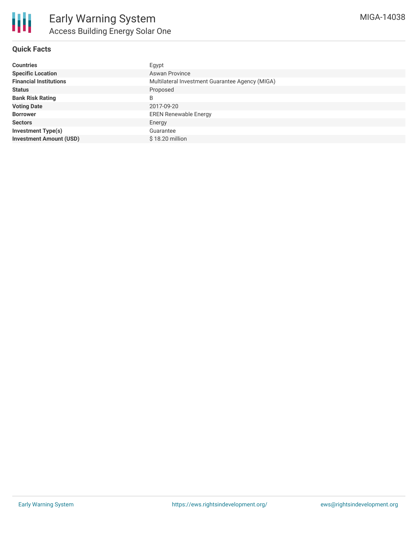

## **Quick Facts**

| <b>Countries</b>               | Egypt                                           |
|--------------------------------|-------------------------------------------------|
| <b>Specific Location</b>       | <b>Aswan Province</b>                           |
| <b>Financial Institutions</b>  | Multilateral Investment Guarantee Agency (MIGA) |
| <b>Status</b>                  | Proposed                                        |
| <b>Bank Risk Rating</b>        | B                                               |
| <b>Voting Date</b>             | 2017-09-20                                      |
| <b>Borrower</b>                | <b>EREN Renewable Energy</b>                    |
| <b>Sectors</b>                 | Energy                                          |
| <b>Investment Type(s)</b>      | Guarantee                                       |
| <b>Investment Amount (USD)</b> | $$18.20$ million                                |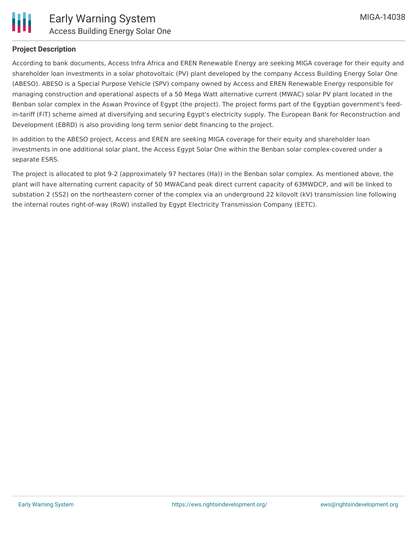

### **Project Description**

According to bank documents, Access Infra Africa and EREN Renewable Energy are seeking MIGA coverage for their equity and shareholder loan investments in a solar photovoltaic (PV) plant developed by the company Access Building Energy Solar One (ABESO). ABESO is a Special Purpose Vehicle (SPV) company owned by Access and EREN Renewable Energy responsible for managing construction and operational aspects of a 50 Mega Watt alternative current (MWAC) solar PV plant located in the Benban solar complex in the Aswan Province of Egypt (the project). The project forms part of the Egyptian government's feedin-tariff (FiT) scheme aimed at diversifying and securing Egypt's electricity supply. The European Bank for Reconstruction and Development (EBRD) is also providing long term senior debt financing to the project.

In addition to the ABESO project, Access and EREN are seeking MIGA coverage for their equity and shareholder loan investments in one additional solar plant, the Access Egypt Solar One within the Benban solar complex-covered under a separate ESRS.

The project is allocated to plot 9-2 (approximately 97 hectares (Ha)) in the Benban solar complex. As mentioned above, the plant will have alternating current capacity of 50 MWACand peak direct current capacity of 63MWDCP, and will be linked to substation 2 (SS2) on the northeastern corner of the complex via an underground 22 kilovolt (kV) transmission line following the internal routes right-of-way (RoW) installed by Egypt Electricity Transmission Company (EETC).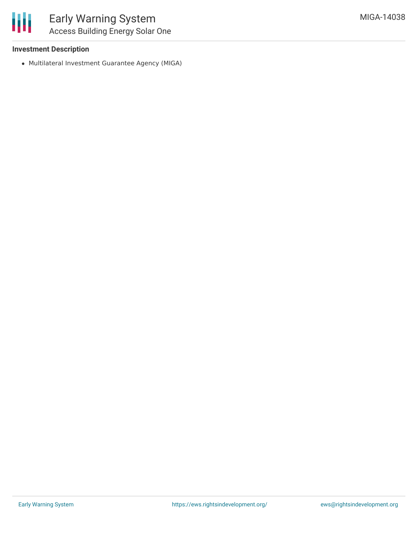### **Investment Description**

Multilateral Investment Guarantee Agency (MIGA)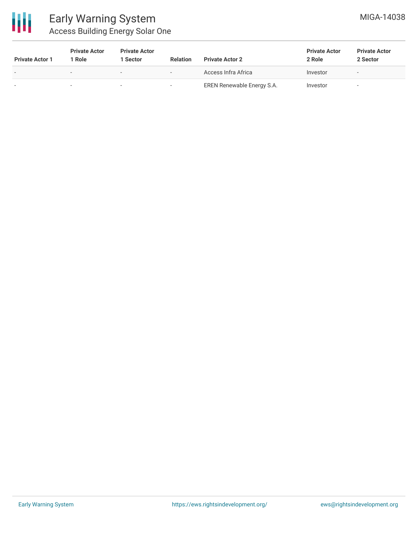

# Early Warning System Access Building Energy Solar One

| <b>Private Actor 1</b> | <b>Private Actor</b><br>l Role | <b>Private Actor</b><br><b>Sector</b> | <b>Relation</b> | <b>Private Actor 2</b>     | <b>Private Actor</b><br>2 Role | <b>Private Actor</b><br>2 Sector |
|------------------------|--------------------------------|---------------------------------------|-----------------|----------------------------|--------------------------------|----------------------------------|
|                        |                                |                                       |                 | Access Infra Africa        | Investor                       |                                  |
|                        |                                |                                       | $\sim$          | EREN Renewable Energy S.A. | Investor                       |                                  |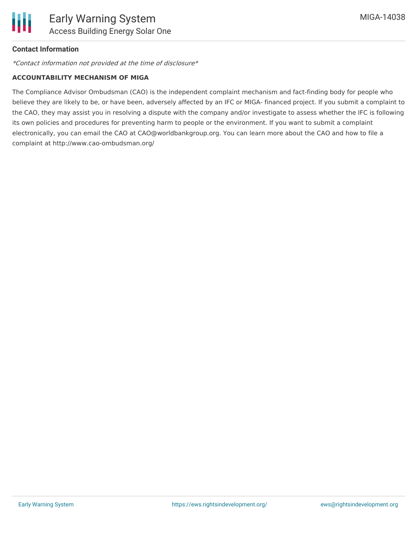

### **Contact Information**

\*Contact information not provided at the time of disclosure\*

#### **ACCOUNTABILITY MECHANISM OF MIGA**

The Compliance Advisor Ombudsman (CAO) is the independent complaint mechanism and fact-finding body for people who believe they are likely to be, or have been, adversely affected by an IFC or MIGA- financed project. If you submit a complaint to the CAO, they may assist you in resolving a dispute with the company and/or investigate to assess whether the IFC is following its own policies and procedures for preventing harm to people or the environment. If you want to submit a complaint electronically, you can email the CAO at CAO@worldbankgroup.org. You can learn more about the CAO and how to file a complaint at http://www.cao-ombudsman.org/